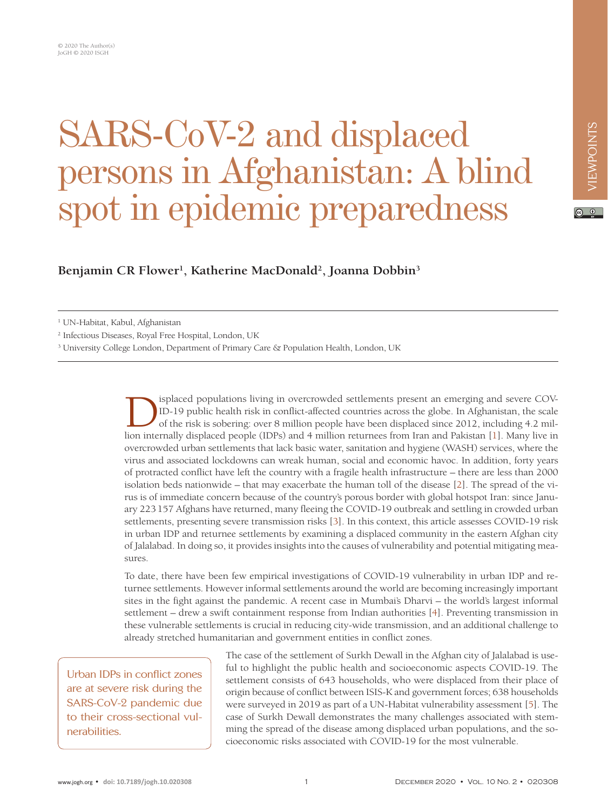## SARS-CoV-2 and displaced persons in Afghanistan: A blind spot in epidemic preparedness

**Benjamin CR Flower1 , Katherine MacDonald2 , Joanna Dobbin3**

1 UN-Habitat, Kabul, Afghanistan

2 Infectious Diseases, Royal Free Hospital, London, UK

<sup>3</sup> University College London, Department of Primary Care & Population Health, London, UK

ID-19 public health risk in conflict-affected countries across the globe. In Afghanistan, the scale<br>of the risk is sobering: over 8 million people have been displaced since 2012, including 4.2 mil-<br>lion internally displace ID-19 public health risk in conflict-affected countries across the globe. In Afghanistan, the scale of the risk is sobering: over 8 million people have been displaced since 2012, including 4.2 million internally displaced people (IDPs) and 4 million returnees from Iran and Pakistan [\[1](#page-2-0)]. Many live in overcrowded urban settlements that lack basic water, sanitation and hygiene (WASH) services, where the virus and associated lockdowns can wreak human, social and economic havoc. In addition, forty years of protracted conflict have left the country with a fragile health infrastructure – there are less than 2000 isolation beds nationwide – that may exacerbate the human toll of the disease [\[2\]](#page-2-1). The spread of the virus is of immediate concern because of the country's porous border with global hotspot Iran: since January 223157 Afghans have returned, many fleeing the COVID-19 outbreak and settling in crowded urban settlements, presenting severe transmission risks [\[3](#page-2-2)]. In this context, this article assesses COVID-19 risk in urban IDP and returnee settlements by examining a displaced community in the eastern Afghan city of Jalalabad. In doing so, it provides insights into the causes of vulnerability and potential mitigating measures.

To date, there have been few empirical investigations of COVID-19 vulnerability in urban IDP and returnee settlements. However informal settlements around the world are becoming increasingly important sites in the fight against the pandemic. A recent case in Mumbai's Dharvi – the world's largest informal settlement – drew a swift containment response from Indian authorities [\[4\]](#page-2-3). Preventing transmission in these vulnerable settlements is crucial in reducing city-wide transmission, and an additional challenge to already stretched humanitarian and government entities in conflict zones.

Urban IDPs in conflict zones are at severe risk during the SARS-CoV-2 pandemic due to their cross-sectional vulnerabilities.

The case of the settlement of Surkh Dewall in the Afghan city of Jalalabad is useful to highlight the public health and socioeconomic aspects COVID-19. The settlement consists of 643 households, who were displaced from their place of origin because of conflict between ISIS-K and government forces; 638 households were surveyed in 2019 as part of a UN-Habitat vulnerability assessment [[5\]](#page-2-4). The case of Surkh Dewall demonstrates the many challenges associated with stemming the spread of the disease among displaced urban populations, and the socioeconomic risks associated with COVID-19 for the most vulnerable.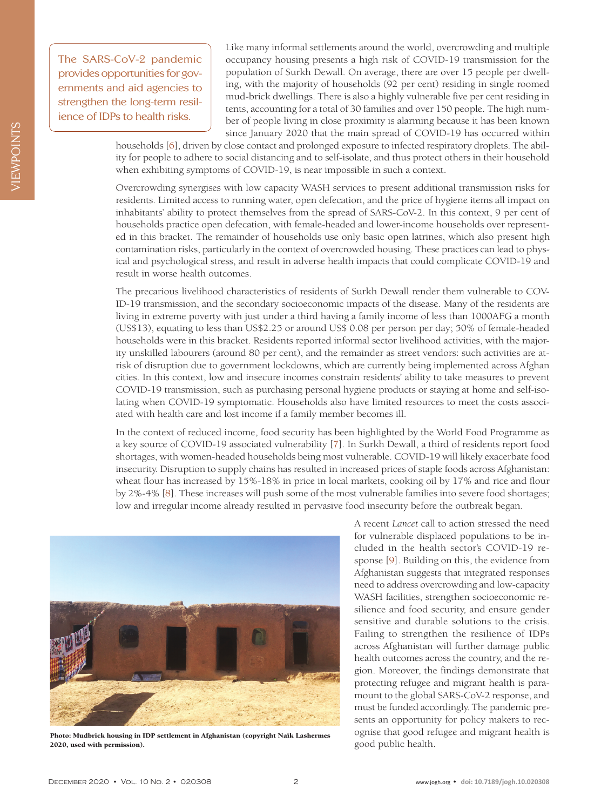The SARS-CoV-2 pandemic provides opportunities for governments and aid agencies to strengthen the long-term resilience of IDPs to health risks.

Like many informal settlements around the world, overcrowding and multiple occupancy housing presents a high risk of COVID-19 transmission for the population of Surkh Dewall. On average, there are over 15 people per dwelling, with the majority of households (92 per cent) residing in single roomed mud-brick dwellings. There is also a highly vulnerable five per cent residing in tents, accounting for a total of 30 families and over 150 people. The high number of people living in close proximity is alarming because it has been known since January 2020 that the main spread of COVID-19 has occurred within

households [[6\]](#page-2-5), driven by close contact and prolonged exposure to infected respiratory droplets. The ability for people to adhere to social distancing and to self-isolate, and thus protect others in their household when exhibiting symptoms of COVID-19, is near impossible in such a context.

Overcrowding synergises with low capacity WASH services to present additional transmission risks for residents. Limited access to running water, open defecation, and the price of hygiene items all impact on inhabitants' ability to protect themselves from the spread of SARS-CoV-2. In this context, 9 per cent of households practice open defecation, with female-headed and lower-income households over represented in this bracket. The remainder of households use only basic open latrines, which also present high contamination risks, particularly in the context of overcrowded housing. These practices can lead to physical and psychological stress, and result in adverse health impacts that could complicate COVID-19 and result in worse health outcomes.

The precarious livelihood characteristics of residents of Surkh Dewall render them vulnerable to COV-ID-19 transmission, and the secondary socioeconomic impacts of the disease. Many of the residents are living in extreme poverty with just under a third having a family income of less than 1000AFG a month (US\$13), equating to less than US\$2.25 or around US\$ 0.08 per person per day; 50% of female-headed households were in this bracket. Residents reported informal sector livelihood activities, with the majority unskilled labourers (around 80 per cent), and the remainder as street vendors: such activities are atrisk of disruption due to government lockdowns, which are currently being implemented across Afghan cities. In this context, low and insecure incomes constrain residents' ability to take measures to prevent COVID-19 transmission, such as purchasing personal hygiene products or staying at home and self-isolating when COVID-19 symptomatic. Households also have limited resources to meet the costs associated with health care and lost income if a family member becomes ill.

In the context of reduced income, food security has been highlighted by the World Food Programme as a key source of COVID-19 associated vulnerability [\[7\]](#page-2-6). In Surkh Dewall, a third of residents report food shortages, with women-headed households being most vulnerable. COVID-19 will likely exacerbate food insecurity. Disruption to supply chains has resulted in increased prices of staple foods across Afghanistan: wheat flour has increased by 15%-18% in price in local markets, cooking oil by 17% and rice and flour by 2%-4% [\[8](#page-2-7)]. These increases will push some of the most vulnerable families into severe food shortages; low and irregular income already resulted in pervasive food insecurity before the outbreak began.



Photo: Mudbrick housing in IDP settlement in Afghanistan (copyright Naïk Lashermes 2020, used with permission).

A recent *Lancet* call to action stressed the need for vulnerable displaced populations to be included in the health sector's COVID-19 response [\[9](#page-2-8)]. Building on this, the evidence from Afghanistan suggests that integrated responses need to address overcrowding and low-capacity WASH facilities, strengthen socioeconomic resilience and food security, and ensure gender sensitive and durable solutions to the crisis. Failing to strengthen the resilience of IDPs across Afghanistan will further damage public health outcomes across the country, and the region. Moreover, the findings demonstrate that protecting refugee and migrant health is paramount to the global SARS-CoV-2 response, and must be funded accordingly. The pandemic presents an opportunity for policy makers to recognise that good refugee and migrant health is good public health.